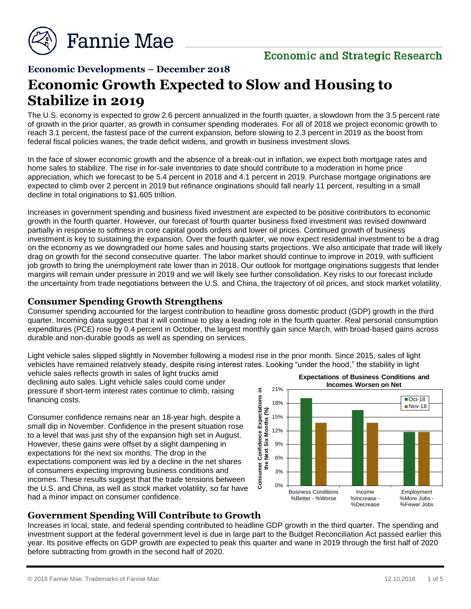

# **Economic and Strategic Research**

## **Economic Developments – December 2018**

# **Economic Growth Expected to Slow and Housing to Stabilize in 2019**

The U.S. economy is expected to grow 2.6 percent annualized in the fourth quarter, a slowdown from the 3.5 percent rate of growth in the prior quarter, as growth in consumer spending moderates. For all of 2018 we project economic growth to reach 3.1 percent, the fastest pace of the current expansion, before slowing to 2.3 percent in 2019 as the boost from federal fiscal policies wanes, the trade deficit widens, and growth in business investment slows.

In the face of slower economic growth and the absence of a break-out in inflation, we expect both mortgage rates and home sales to stabilize. The rise in for-sale inventories to date should contribute to a moderation in home price appreciation, which we forecast to be 5.4 percent in 2018 and 4.1 percent in 2019. Purchase mortgage originations are expected to climb over 2 percent in 2019 but refinance originations should fall nearly 11 percent, resulting in a small decline in total originations to \$1.605 trillion.

Increases in government spending and business fixed investment are expected to be positive contributors to economic growth in the fourth quarter. However, our forecast of fourth quarter business fixed investment was revised downward partially in response to softness in core capital goods orders and lower oil prices. Continued growth of business investment is key to sustaining the expansion. Over the fourth quarter, we now expect residential investment to be a drag on the economy as we downgraded our home sales and housing starts projections. We also anticipate that trade will likely drag on growth for the second consecutive quarter. The labor market should continue to improve in 2019, with sufficient job growth to bring the unemployment rate lower than in 2018. Our outlook for mortgage originations suggests that lender margins will remain under pressure in 2019 and we will likely see further consolidation. Key risks to our forecast include the uncertainty from trade negotiations between the U.S. and China, the trajectory of oil prices, and stock market volatility.

### **Consumer Spending Growth Strengthens**

Consumer spending accounted for the largest contribution to headline gross domestic product (GDP) growth in the third quarter. Incoming data suggest that it will continue to play a leading role in the fourth quarter. Real personal consumption expenditures (PCE) rose by 0.4 percent in October, the largest monthly gain since March, with broad-based gains across durable and non-durable goods as well as spending on services.

Light vehicle sales slipped slightly in November following a modest rise in the prior month. Since 2015, sales of light vehicles have remained relatively steady, despite rising interest rates. Looking "under the hood," the stability in light

vehicle sales reflects growth in sales of light trucks amid declining auto sales. Light vehicle sales could come under pressure if short-term interest rates continue to climb, raising financing costs.

Consumer confidence remains near an 18-year high, despite a small dip in November. Confidence in the present situation rose to a level that was just shy of the expansion high set in August. However, these gains were offset by a slight dampening in expectations for the next six months. The drop in the expectations component was led by a decline in the net shares of consumers expecting improving business conditions and incomes. These results suggest that the trade tensions between the U.S. and China, as well as stock market volatility, so far have had a minor impact on consumer confidence.



## **Government Spending Will Contribute to Growth**

Increases in local, state, and federal spending contributed to headline GDP growth in the third quarter. The spending and investment support at the federal government level is due in large part to the Budget Reconciliation Act passed earlier this year. Its positive effects on GDP growth are expected to peak this quarter and wane in 2019 through the first half of 2020 before subtracting from growth in the second half of 2020.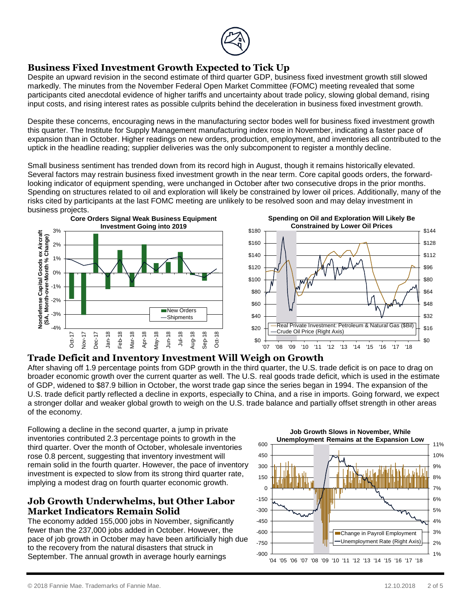

# **Business Fixed Investment Growth Expected to Tick Up**

Despite an upward revision in the second estimate of third quarter GDP, business fixed investment growth still slowed markedly. The minutes from the November Federal Open Market Committee (FOMC) meeting revealed that some participants cited anecdotal evidence of higher tariffs and uncertainty about trade policy, slowing global demand, rising input costs, and rising interest rates as possible culprits behind the deceleration in business fixed investment growth.

Despite these concerns, encouraging news in the manufacturing sector bodes well for business fixed investment growth this quarter. The Institute for Supply Management manufacturing index rose in November, indicating a faster pace of expansion than in October. Higher readings on new orders, production, employment, and inventories all contributed to the uptick in the headline reading; supplier deliveries was the only subcomponent to register a monthly decline.

Small business sentiment has trended down from its record high in August, though it remains historically elevated. Several factors may restrain business fixed investment growth in the near term. Core capital goods orders, the forwardlooking indicator of equipment spending, were unchanged in October after two consecutive drops in the prior months. Spending on structures related to oil and exploration will likely be constrained by lower oil prices. Additionally, many of the risks cited by participants at the last FOMC meeting are unlikely to be resolved soon and may delay investment in business projects.



## **Trade Deficit and Inventory Investment Will Weigh on Growth**

After shaving off 1.9 percentage points from GDP growth in the third quarter, the U.S. trade deficit is on pace to drag on broader economic growth over the current quarter as well. The U.S. real goods trade deficit, which is used in the estimate of GDP, widened to \$87.9 billion in October, the worst trade gap since the series began in 1994. The expansion of the U.S. trade deficit partly reflected a decline in exports, especially to China, and a rise in imports. Going forward, we expect a stronger dollar and weaker global growth to weigh on the U.S. trade balance and partially offset strength in other areas of the economy.

Following a decline in the second quarter, a jump in private inventories contributed 2.3 percentage points to growth in the third quarter. Over the month of October, wholesale inventories rose 0.8 percent, suggesting that inventory investment will remain solid in the fourth quarter. However, the pace of inventory investment is expected to slow from its strong third quarter rate, implying a modest drag on fourth quarter economic growth.

## **Job Growth Underwhelms, but Other Labor Market Indicators Remain Solid**

The economy added 155,000 jobs in November, significantly fewer than the 237,000 jobs added in October. However, the pace of job growth in October may have been artificially high due to the recovery from the natural disasters that struck in September. The annual growth in average hourly earnings

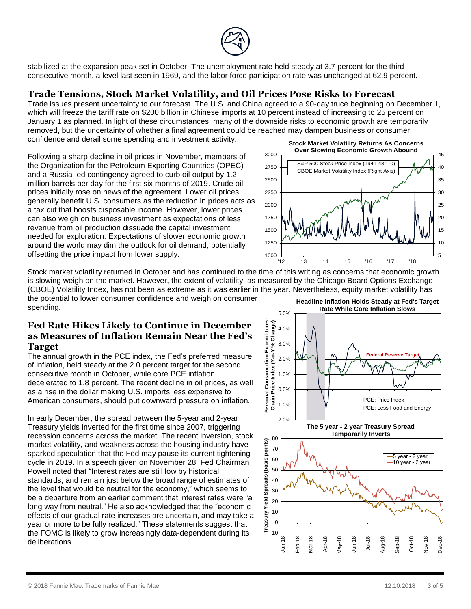

stabilized at the expansion peak set in October. The unemployment rate held steady at 3.7 percent for the third consecutive month, a level last seen in 1969, and the labor force participation rate was unchanged at 62.9 percent.

## **Trade Tensions, Stock Market Volatility, and Oil Prices Pose Risks to Forecast**

Trade issues present uncertainty to our forecast. The U.S. and China agreed to a 90-day truce beginning on December 1, which will freeze the tariff rate on \$200 billion in Chinese imports at 10 percent instead of increasing to 25 percent on January 1 as planned. In light of these circumstances, many of the downside risks to economic growth are temporarily removed, but the uncertainty of whether a final agreement could be reached may dampen business or consumer confidence and derail some spending and investment activity.

> 2750 3000

Following a sharp decline in oil prices in November, members of the Organization for the Petroleum Exporting Countries (OPEC) and a Russia-led contingency agreed to curb oil output by 1.2 million barrels per day for the first six months of 2019. Crude oil prices initially rose on news of the agreement. Lower oil prices generally benefit U.S. consumers as the reduction in prices acts as a tax cut that boosts disposable income. However, lower prices can also weigh on business investment as expectations of less revenue from oil production dissuade the capital investment needed for exploration. Expectations of slower economic growth around the world may dim the outlook for oil demand, potentially offsetting the price impact from lower supply.



40 45



Stock market volatility returned in October and has continued to the time of this writing as concerns that economic growth is slowing weigh on the market. However, the extent of volatility, as measured by the Chicago Board Options Exchange (CBOE) Volatility Index, has not been as extreme as it was earlier in the year. Nevertheless, equity market volatility has

the potential to lower consumer confidence and weigh on consumer spending.

## **Fed Rate Hikes Likely to Continue in December as Measures of Inflation Remain Near the Fed's Target**

The annual growth in the PCE index, the Fed's preferred measure of inflation, held steady at the 2.0 percent target for the second consecutive month in October, while core PCE inflation decelerated to 1.8 percent. The recent decline in oil prices, as well as a rise in the dollar making U.S. imports less expensive to American consumers, should put downward pressure on inflation.

In early December, the spread between the 5-year and 2-year Treasury yields inverted for the first time since 2007, triggering recession concerns across the market. The recent inversion, stock market volatility, and weakness across the housing industry have sparked speculation that the Fed may pause its current tightening cycle in 2019. In a speech given on November 28, Fed Chairman Powell noted that "Interest rates are still low by historical standards, and remain just below the broad range of estimates of the level that would be neutral for the economy," which seems to be a departure from an earlier comment that interest rates were "a long way from neutral." He also acknowledged that the "economic effects of our gradual rate increases are uncertain, and may take a year or more to be fully realized." These statements suggest that the FOMC is likely to grow increasingly data-dependent during its deliberations.

**Headline Inflation Holds Steady at Fed's Target** 



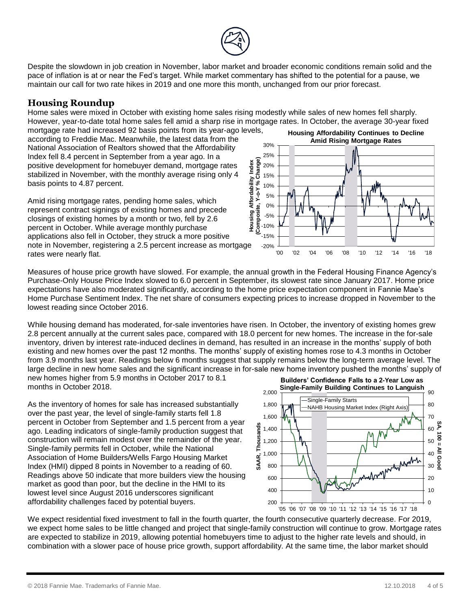

Despite the slowdown in job creation in November, labor market and broader economic conditions remain solid and the pace of inflation is at or near the Fed's target. While market commentary has shifted to the potential for a pause, we maintain our call for two rate hikes in 2019 and one more this month, unchanged from our prior forecast.

## **Housing Roundup**

Home sales were mixed in October with existing home sales rising modestly while sales of new homes fell sharply. However, year-to-date total home sales fell amid a sharp rise in mortgage rates. In October, the average 30-year fixed

mortgage rate had increased 92 basis points from its year-ago levels, according to Freddie Mac. Meanwhile, the latest data from the National Association of Realtors showed that the Affordability Index fell 8.4 percent in September from a year ago. In a positive development for homebuyer demand, mortgage rates stabilized in November, with the monthly average rising only 4 basis points to 4.87 percent.

Amid rising mortgage rates, pending home sales, which represent contract signings of existing homes and precede closings of existing homes by a month or two, fell by 2.6 percent in October. While average monthly purchase applications also fell in October, they struck a more positive note in November, registering a 2.5 percent increase as mortgage rates were nearly flat.



Measures of house price growth have slowed. For example, the annual growth in the Federal Housing Finance Agency's Purchase-Only House Price Index slowed to 6.0 percent in September, its slowest rate since January 2017. Home price expectations have also moderated significantly, according to the home price expectation component in Fannie Mae's Home Purchase Sentiment Index. The net share of consumers expecting prices to increase dropped in November to the lowest reading since October 2016.

While housing demand has moderated, for-sale inventories have risen. In October, the inventory of existing homes grew 2.8 percent annually at the current sales pace, compared with 18.0 percent for new homes. The increase in the for-sale inventory, driven by interest rate-induced declines in demand, has resulted in an increase in the months' supply of both existing and new homes over the past 12 months. The months' supply of existing homes rose to 4.3 months in October from 3.9 months last year. Readings below 6 months suggest that supply remains below the long-term average level. The large decline in new home sales and the significant increase in for-sale new home inventory pushed the months' supply of new homes higher from 5.9 months in October 2017 to 8.1 months in October 2018.

As the inventory of homes for sale has increased substantially over the past year, the level of single-family starts fell 1.8 percent in October from September and 1.5 percent from a year ago. Leading indicators of single-family production suggest that construction will remain modest over the remainder of the year. Single-family permits fell in October, while the National Association of Home Builders/Wells Fargo Housing Market Index (HMI) dipped 8 points in November to a reading of 60. Readings above 50 indicate that more builders view the housing market as good than poor, but the decline in the HMI to its lowest level since August 2016 underscores significant affordability challenges faced by potential buyers.



We expect residential fixed investment to fall in the fourth quarter, the fourth consecutive quarterly decrease. For 2019, we expect home sales to be little changed and project that single-family construction will continue to grow. Mortgage rates are expected to stabilize in 2019, allowing potential homebuyers time to adjust to the higher rate levels and should, in combination with a slower pace of house price growth, support affordability. At the same time, the labor market should